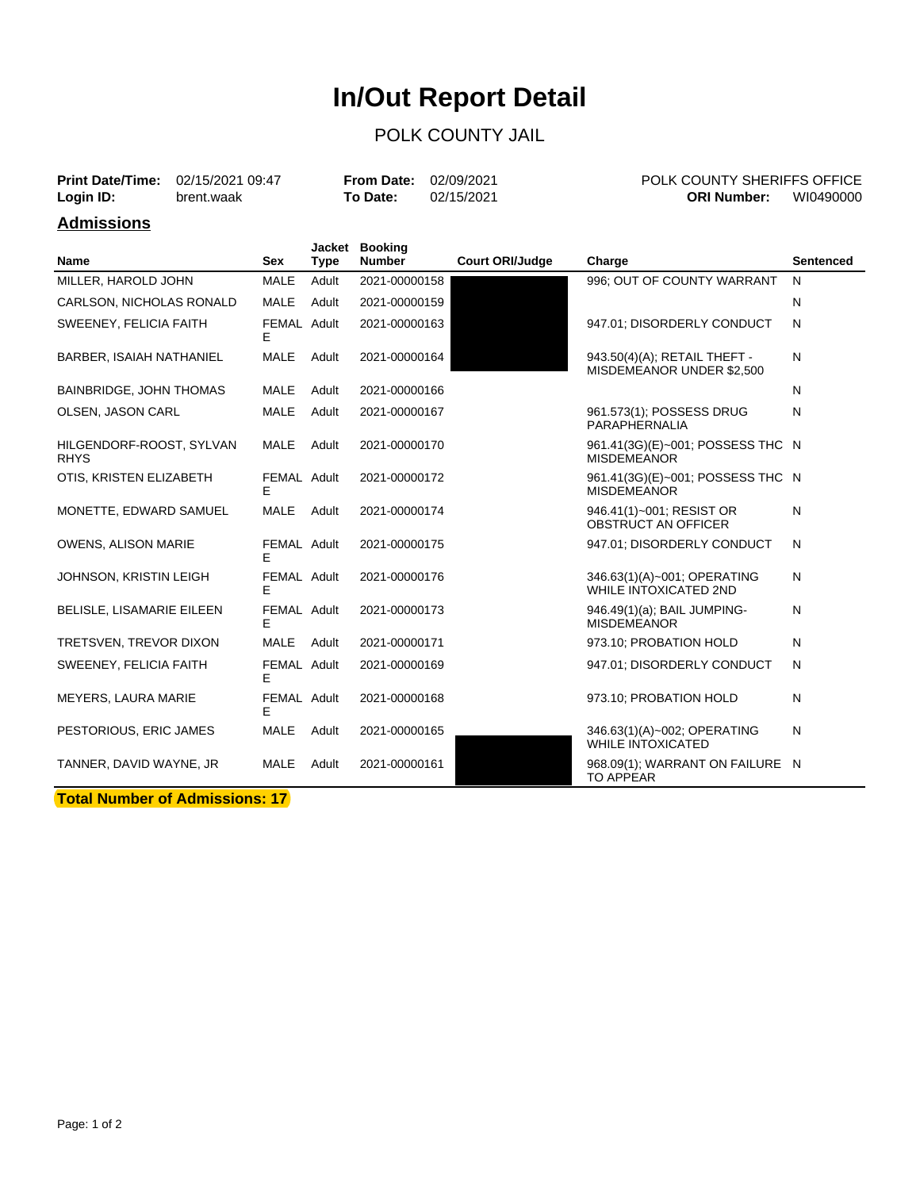# **In/Out Report Detail**

### POLK COUNTY JAIL

| <b>Print Date/Time:</b><br>Login ID: | 02/15/2021 09:47<br>brent.waak |     |      | <b>From Date:</b><br><b>To Date:</b> | 02/09/2021<br>02/15/2021 |        | POLK COUNTY SHERIFFS OFFICE<br><b>ORI Number:</b> | WI0490000 |
|--------------------------------------|--------------------------------|-----|------|--------------------------------------|--------------------------|--------|---------------------------------------------------|-----------|
| Admissions                           |                                |     |      |                                      |                          |        |                                                   |           |
| <b>Name</b>                          |                                | Sex | Tvpe | Jacket Booking<br>Number             | <b>Court ORI/Judge</b>   | Charge |                                                   | Sentenced |

|                                         | ັັ               | .,pv  |               | ooan onwouugo | onargo                                                      |   |
|-----------------------------------------|------------------|-------|---------------|---------------|-------------------------------------------------------------|---|
| MILLER, HAROLD JOHN                     | <b>MALE</b>      | Adult | 2021-00000158 |               | 996; OUT OF COUNTY WARRANT                                  | N |
| CARLSON, NICHOLAS RONALD                | <b>MALE</b>      | Adult | 2021-00000159 |               |                                                             | N |
| SWEENEY, FELICIA FAITH                  | FEMAL Adult<br>E |       | 2021-00000163 |               | 947.01; DISORDERLY CONDUCT                                  | N |
| <b>BARBER, ISAIAH NATHANIEL</b>         | MALE             | Adult | 2021-00000164 |               | 943.50(4)(A); RETAIL THEFT -<br>MISDEMEANOR UNDER \$2,500   | N |
| <b>BAINBRIDGE, JOHN THOMAS</b>          | MALE             | Adult | 2021-00000166 |               |                                                             | N |
| OLSEN, JASON CARL                       | <b>MALE</b>      | Adult | 2021-00000167 |               | 961.573(1); POSSESS DRUG<br>PARAPHERNALIA                   | N |
| HILGENDORF-ROOST, SYLVAN<br><b>RHYS</b> | MALE             | Adult | 2021-00000170 |               | 961.41(3G)(E)~001; POSSESS THC N<br><b>MISDEMEANOR</b>      |   |
| OTIS, KRISTEN ELIZABETH                 | FEMAL Adult<br>E |       | 2021-00000172 |               | 961.41(3G)(E)~001; POSSESS THC N<br><b>MISDEMEANOR</b>      |   |
| MONETTE, EDWARD SAMUEL                  | <b>MALE</b>      | Adult | 2021-00000174 |               | 946.41(1)~001; RESIST OR<br><b>OBSTRUCT AN OFFICER</b>      | N |
| <b>OWENS, ALISON MARIE</b>              | FEMAL Adult<br>E |       | 2021-00000175 |               | 947.01; DISORDERLY CONDUCT                                  | N |
| JOHNSON, KRISTIN LEIGH                  | FEMAL Adult<br>E |       | 2021-00000176 |               | 346.63(1)(A)~001; OPERATING<br><b>WHILE INTOXICATED 2ND</b> | N |
| <b>BELISLE, LISAMARIE EILEEN</b>        | FEMAL Adult<br>F |       | 2021-00000173 |               | 946.49(1)(a); BAIL JUMPING-<br><b>MISDEMEANOR</b>           | N |
| TRETSVEN, TREVOR DIXON                  | MALE             | Adult | 2021-00000171 |               | 973.10; PROBATION HOLD                                      | N |
| SWEENEY, FELICIA FAITH                  | FEMAL Adult<br>E |       | 2021-00000169 |               | 947.01; DISORDERLY CONDUCT                                  | N |
| MEYERS, LAURA MARIE                     | FEMAL Adult<br>E |       | 2021-00000168 |               | 973.10; PROBATION HOLD                                      | N |
| PESTORIOUS, ERIC JAMES                  | MALE             | Adult | 2021-00000165 |               | 346.63(1)(A)~002; OPERATING<br><b>WHILE INTOXICATED</b>     | N |
| TANNER, DAVID WAYNE, JR                 | <b>MALE</b>      | Adult | 2021-00000161 |               | 968.09(1); WARRANT ON FAILURE N<br><b>TO APPEAR</b>         |   |

**Total Number of Admissions: 17**